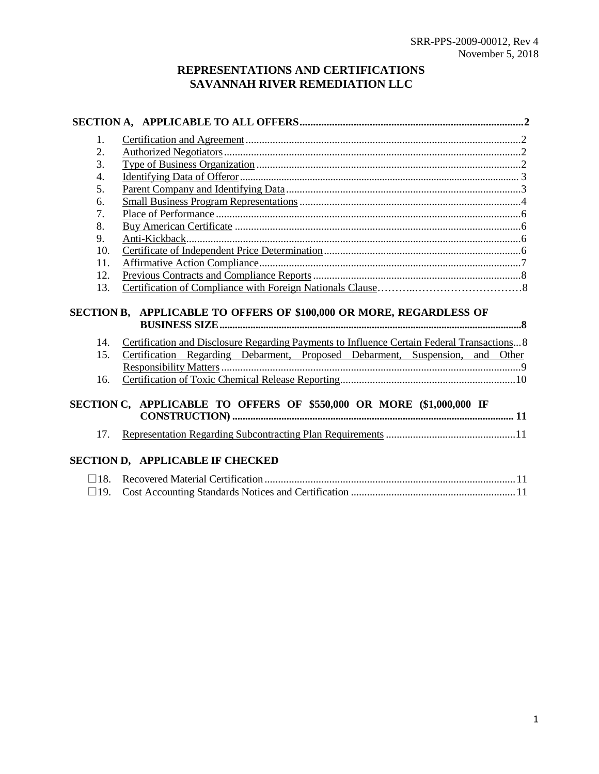# **REPRESENTATIONS AND CERTIFICATIONS SAVANNAH RIVER REMEDIATION LLC**

| 1.                                                                  |                                                                                             |  |  |  |
|---------------------------------------------------------------------|---------------------------------------------------------------------------------------------|--|--|--|
| 2.                                                                  |                                                                                             |  |  |  |
| 3.                                                                  |                                                                                             |  |  |  |
| 4.                                                                  |                                                                                             |  |  |  |
| 5.                                                                  |                                                                                             |  |  |  |
| 6.                                                                  |                                                                                             |  |  |  |
| 7.                                                                  |                                                                                             |  |  |  |
| 8.                                                                  |                                                                                             |  |  |  |
| 9.                                                                  |                                                                                             |  |  |  |
| 10.                                                                 |                                                                                             |  |  |  |
| 11.                                                                 |                                                                                             |  |  |  |
| 12.                                                                 |                                                                                             |  |  |  |
| 13.                                                                 |                                                                                             |  |  |  |
| SECTION B, APPLICABLE TO OFFERS OF \$100,000 OR MORE, REGARDLESS OF |                                                                                             |  |  |  |
| 14.                                                                 | Certification and Disclosure Regarding Payments to Influence Certain Federal Transactions 8 |  |  |  |
| 15.                                                                 | Certification Regarding Debarment, Proposed Debarment, Suspension, and Other                |  |  |  |
|                                                                     |                                                                                             |  |  |  |
| 16.                                                                 |                                                                                             |  |  |  |
| 17.                                                                 | SECTION C, APPLICABLE TO OFFERS OF \$550,000 OR MORE (\$1,000,000 IF                        |  |  |  |
|                                                                     | <b>SECTION D, APPLICABLE IF CHECKED</b>                                                     |  |  |  |
|                                                                     |                                                                                             |  |  |  |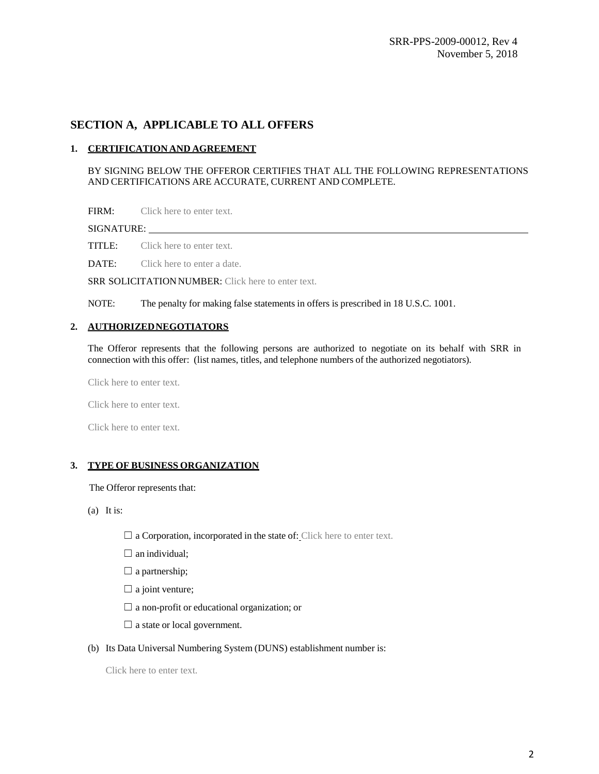## <span id="page-1-0"></span>**SECTION A, APPLICABLE TO ALL OFFERS**

## <span id="page-1-1"></span>**1. CERTIFICATION AND AGREEMENT**

BY SIGNING BELOW THE OFFEROR CERTIFIES THAT ALL THE FOLLOWING REPRESENTATIONS AND CERTIFICATIONS ARE ACCURATE, CURRENT AND COMPLETE.

FIRM: Click here to enter text.

SIGNATURE:

TITLE: Click here to enter text.

DATE: Click here to enter a date.

SRR SOLICITATION NUMBER: Click here to enter text.

NOTE: The penalty for making false statements in offers is prescribed in 18 U.S.C. 1001.

#### <span id="page-1-2"></span>**2. AUTHORIZEDNEGOTIATORS**

The Offeror represents that the following persons are authorized to negotiate on its behalf with SRR in connection with this offer: (list names, titles, and telephone numbers of the authorized negotiators).

Click here to enter text.

Click here to enter text.

Click here to enter text.

## <span id="page-1-3"></span>**3. TYPE OF BUSINESS ORGANIZATION**

The Offeror represents that:

(a) It is:

- $\Box$  a Corporation, incorporated in the state of: Click here to enter text.
- $\Box$  an individual;
- $\Box$  a partnership;
- $\Box$  a joint venture;
- $\Box$  a non-profit or educational organization; or
- $\Box$  a state or local government.
- (b) Its Data Universal Numbering System (DUNS) establishment number is:

Click here to enter text.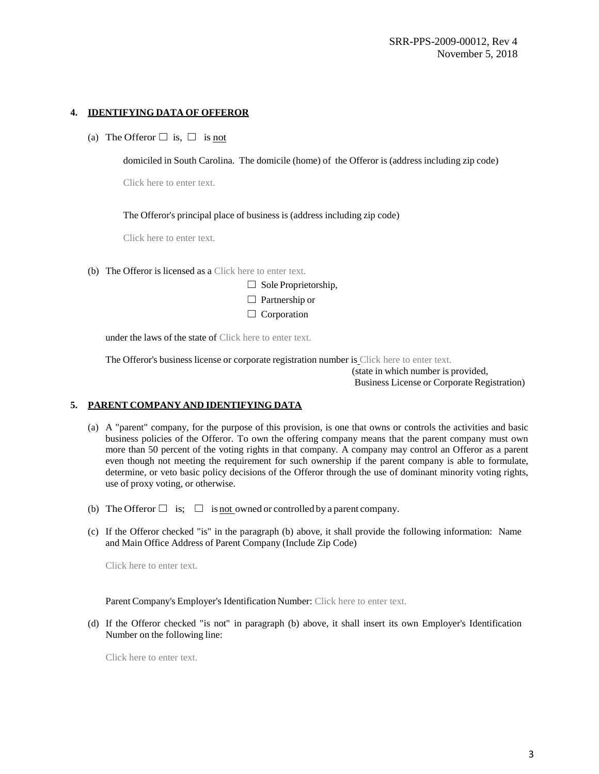## <span id="page-2-0"></span>**4. IDENTIFYING DATA OF OFFEROR**

(a) The Offeror  $\Box$  is,  $\Box$  is not

domiciled in South Carolina. The domicile (home) of the Offeror is (address including zip code)

Click here to enter text.

The Offeror's principal place of business is (address including zip code)

Click here to enter text.

(b) The Offeror is licensed as a Click here to enter text.<br>  $\Box$  Sole Proprietorship,

| $\Box$ Sole Proprietorship, |  |
|-----------------------------|--|
| $\Box$ Partnership or       |  |
| $\Box$ Corporation          |  |

under the laws of the state of Click here to enter text.

The Offeror's business license or corporate registration number is Click here to enter text.

(state in which number is provided, Business License or Corporate Registration)

## <span id="page-2-1"></span>**5. PARENT COMPANY AND IDENTIFYING DATA**

- (a) A "parent" company, for the purpose of this provision, is one that owns or controls the activities and basic business policies of the Offeror. To own the offering company means that the parent company must own more than 50 percent of the voting rights in that company. A company may control an Offeror as a parent even though not meeting the requirement for such ownership if the parent company is able to formulate, determine, or veto basic policy decisions of the Offeror through the use of dominant minority voting rights, use of proxy voting, or otherwise.
- (b) The Offeror  $\Box$  is;  $\Box$  is <u>not</u> owned or controlled by a parent company.
- (c) If the Offeror checked "is" in the paragraph (b) above, it shall provide the following information: Name and Main Office Address of Parent Company (Include Zip Code)

Click here to enter text.

Parent Company's Employer's Identification Number: Click here to enter text.

(d) If the Offeror checked "is not" in paragraph (b) above, it shall insert its own Employer's Identification Number on the following line:

Click here to enter text.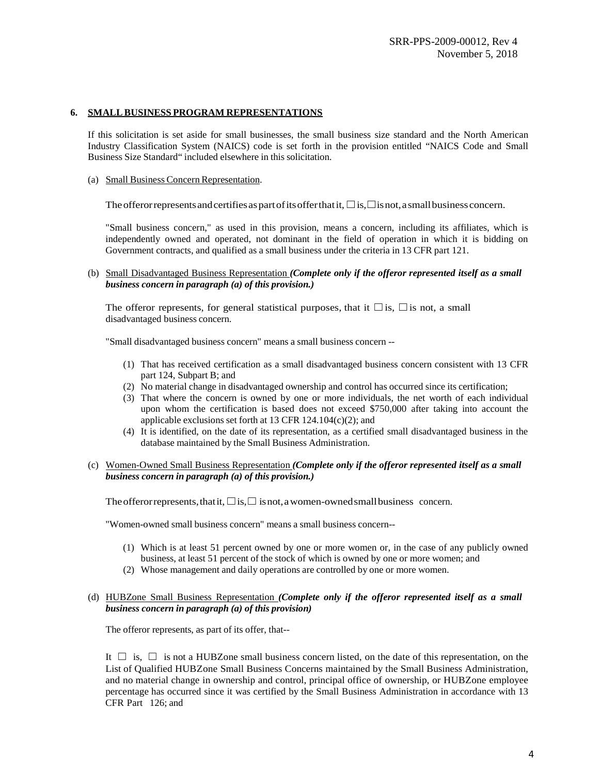## <span id="page-3-0"></span>**6. SMALLBUSINESS PROGRAM REPRESENTATIONS**

If this solicitation is set aside for small businesses, the small business size standard and the North American Industry Classification System (NAICS) code is set forth in the provision entitled "NAICS Code and Small Business Size Standard" included elsewhere in this solicitation.

(a) Small Business Concern Representation.

The offeror represents and certifies as part of its offer that it,  $\square$  is,  $\square$  is not, a small business concern.

"Small business concern," as used in this provision, means a concern, including its affiliates, which is independently owned and operated, not dominant in the field of operation in which it is bidding on Government contracts, and qualified as a small business under the criteria in 13 CFR part 121.

(b) Small Disadvantaged Business Representation *(Complete only if the offeror represented itself as a small business concern in paragraph (a) of this provision.)*

The offeror represents, for general statistical purposes, that it  $\square$  is,  $\square$  is not, a small disadvantaged business concern.

"Small disadvantaged business concern" means a small business concern --

- (1) That has received certification as a small disadvantaged business concern consistent with 13 CFR part 124, Subpart B; and
- (2) No material change in disadvantaged ownership and control has occurred since its certification;
- (3) That where the concern is owned by one or more individuals, the net worth of each individual upon whom the certification is based does not exceed \$750,000 after taking into account the applicable exclusions set forth at 13 CFR  $124.104(c)(2)$ ; and
- (4) It is identified, on the date of its representation, as a certified small disadvantaged business in the database maintained by the Small Business Administration.
- (c) Women-Owned Small Business Representation *(Complete only if the offeror represented itself as a small business concern in paragraph (a) of this provision.)*

The offeror represents, that it,  $□$  is,  $□$  is not, a women-owned small business concern.

"Women-owned small business concern" means a small business concern--

- (1) Which is at least 51 percent owned by one or more women or, in the case of any publicly owned business, at least 51 percent of the stock of which is owned by one or more women; and
- (2) Whose management and daily operations are controlled by one or more women.
- (d) HUBZone Small Business Representation *(Complete only if the offeror represented itself as a small business concern in paragraph (a) of this provision)*

The offeror represents, as part of its offer, that--

It  $\Box$  is,  $\Box$  is not a HUBZone small business concern listed, on the date of this representation, on the List of Qualified HUBZone Small Business Concerns maintained by the Small Business Administration, and no material change in ownership and control, principal office of ownership, or HUBZone employee percentage has occurred since it was certified by the Small Business Administration in accordance with 13 CFR Part 126; and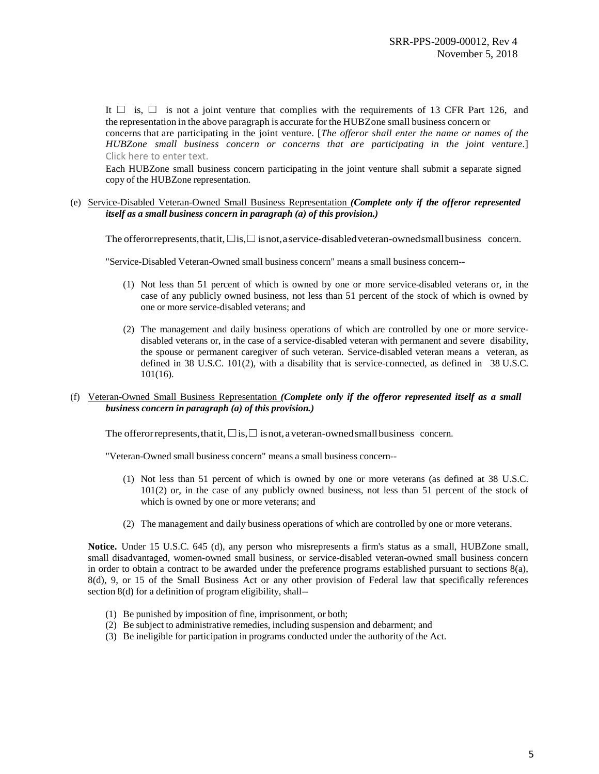It  $\Box$  is,  $\Box$  is not a joint venture that complies with the requirements of 13 CFR Part 126, and the representation in the above paragraph is accurate for the HUBZone small business concern or concerns that are participating in the joint venture. [*The offeror shall enter the name or names of the HUBZone small business concern or concerns that are participating in the joint venture*.] Click here to enter text.

Each HUBZone small business concern participating in the joint venture shall submit a separate signed copy of the HUBZone representation.

#### (e) Service-Disabled Veteran-Owned Small Business Representation *(Complete only if the offeror represented itself as a small business concern in paragraph (a) of this provision.)*

The offerorrepresents, that it,  $\square$  is,  $\square$  isnot, a service-disabled veteran-owned small business concern.

"Service-Disabled Veteran-Owned small business concern" means a small business concern--

- (1) Not less than 51 percent of which is owned by one or more service-disabled veterans or, in the case of any publicly owned business, not less than 51 percent of the stock of which is owned by one or more service-disabled veterans; and
- (2) The management and daily business operations of which are controlled by one or more servicedisabled veterans or, in the case of a service-disabled veteran with permanent and severe disability, the spouse or permanent caregiver of such veteran. Service-disabled veteran means a veteran, as defined in 38 U.S.C. 101(2), with a disability that is service-connected, as defined in 38 U.S.C. 101(16).

## (f) Veteran-Owned Small Business Representation *(Complete only if the offeror represented itself as a small business concern in paragraph (a) of this provision.)*

The offeror represents, that it,  $□$  is,  $□$  is not, a veteran-owned small business concern.

"Veteran-Owned small business concern" means a small business concern--

- (1) Not less than 51 percent of which is owned by one or more veterans (as defined at 38 U.S.C. 101(2) or, in the case of any publicly owned business, not less than 51 percent of the stock of which is owned by one or more veterans; and
- (2) The management and daily business operations of which are controlled by one or more veterans.

**Notice.** Under 15 U.S.C. 645 (d), any person who misrepresents a firm's status as a small, HUBZone small, small disadvantaged, women-owned small business, or service-disabled veteran-owned small business concern in order to obtain a contract to be awarded under the preference programs established pursuant to sections  $8(a)$ , 8(d), 9, or 15 of the Small Business Act or any other provision of Federal law that specifically references section 8(d) for a definition of program eligibility, shall--

- (1) Be punished by imposition of fine, imprisonment, or both;
- (2) Be subject to administrative remedies, including suspension and debarment; and
- (3) Be ineligible for participation in programs conducted under the authority of the Act.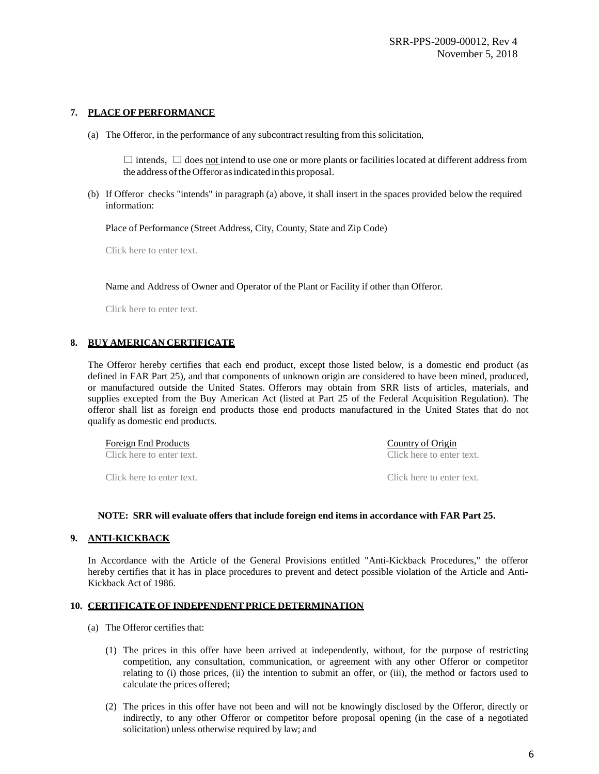## <span id="page-5-0"></span>**7. PLACE OF PERFORMANCE**

(a) The Offeror, in the performance of any subcontract resulting from this solicitation,

 $\Box$  intends,  $\Box$  does not intend to use one or more plants or facilities located at different address from the address of the Offeror as indicated in this proposal.

(b) If Offeror checks "intends" in paragraph (a) above, it shall insert in the spaces provided below the required information:

Place of Performance (Street Address, City, County, State and Zip Code)

Click here to enter text.

Name and Address of Owner and Operator of the Plant or Facility if other than Offeror.

Click here to enter text.

## <span id="page-5-1"></span>**8. BUY AMERICAN CERTIFICATE**

The Offeror hereby certifies that each end product, except those listed below, is a domestic end product (as defined in FAR Part 25), and that components of unknown origin are considered to have been mined, produced, or manufactured outside the United States. Offerors may obtain from SRR lists of articles, materials, and supplies excepted from the Buy American Act (listed at Part 25 of the Federal Acquisition Regulation). The offeror shall list as foreign end products those end products manufactured in the United States that do not qualify as domestic end products.

| Foreign End Products      | Country of Origin<br>Click here to enter text. |  |
|---------------------------|------------------------------------------------|--|
| Click here to enter text. |                                                |  |
| Click here to enter text. | Click here to enter text.                      |  |

#### **NOTE: SRR will evaluate offers that include foreign end items in accordance with FAR Part 25.**

#### <span id="page-5-2"></span>**9. ANTI-KICKBACK**

In Accordance with the Article of the General Provisions entitled "Anti-Kickback Procedures," the offeror hereby certifies that it has in place procedures to prevent and detect possible violation of the Article and Anti-Kickback Act of 1986.

#### <span id="page-5-3"></span>**10. CERTIFICATE OF INDEPENDENT PRICE DETERMINATION**

- (a) The Offeror certifies that:
	- (1) The prices in this offer have been arrived at independently, without, for the purpose of restricting competition, any consultation, communication, or agreement with any other Offeror or competitor relating to (i) those prices, (ii) the intention to submit an offer, or (iii), the method or factors used to calculate the prices offered;
	- (2) The prices in this offer have not been and will not be knowingly disclosed by the Offeror, directly or indirectly, to any other Offeror or competitor before proposal opening (in the case of a negotiated solicitation) unless otherwise required by law; and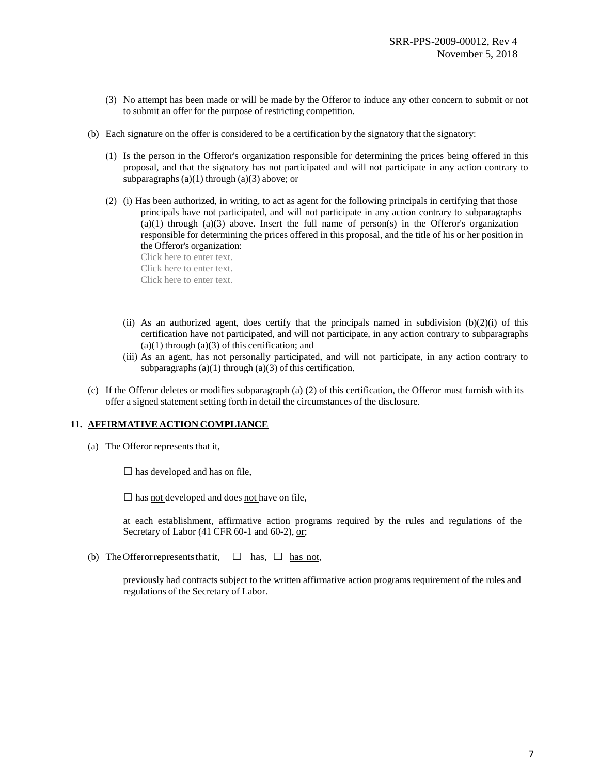- (3) No attempt has been made or will be made by the Offeror to induce any other concern to submit or not to submit an offer for the purpose of restricting competition.
- (b) Each signature on the offer is considered to be a certification by the signatory that the signatory:
	- (1) Is the person in the Offeror's organization responsible for determining the prices being offered in this proposal, and that the signatory has not participated and will not participate in any action contrary to subparagraphs  $(a)(1)$  through  $(a)(3)$  above; or
	- (2) (i) Has been authorized, in writing, to act as agent for the following principals in certifying that those principals have not participated, and will not participate in any action contrary to subparagraphs  $(a)(1)$  through  $(a)(3)$  above. Insert the full name of person(s) in the Offeror's organization responsible for determining the prices offered in this proposal, and the title of his or her position in the Offeror's organization:

Click here to enter text. Click here to enter text. Click here to enter text.

- (ii) As an authorized agent, does certify that the principals named in subdivision  $(b)(2)(i)$  of this certification have not participated, and will not participate, in any action contrary to subparagraphs  $(a)(1)$  through  $(a)(3)$  of this certification; and
- (iii) As an agent, has not personally participated, and will not participate, in any action contrary to subparagraphs  $(a)(1)$  through  $(a)(3)$  of this certification.
- (c) If the Offeror deletes or modifies subparagraph (a) (2) of this certification, the Offeror must furnish with its offer a signed statement setting forth in detail the circumstances of the disclosure.

#### <span id="page-6-0"></span>**11. AFFIRMATIVE ACTION COMPLIANCE**

(a) The Offeror represents that it,

 $\Box$  has developed and has on file,

 $\Box$  has not developed and does not have on file,

at each establishment, affirmative action programs required by the rules and regulations of the Secretary of Labor (41 CFR 60-1 and 60-2), or;

(b) The Offeror represents that it,  $\Box$  has,  $\Box$  has not,

previously had contracts subject to the written affirmative action programs requirement of the rules and regulations of the Secretary of Labor.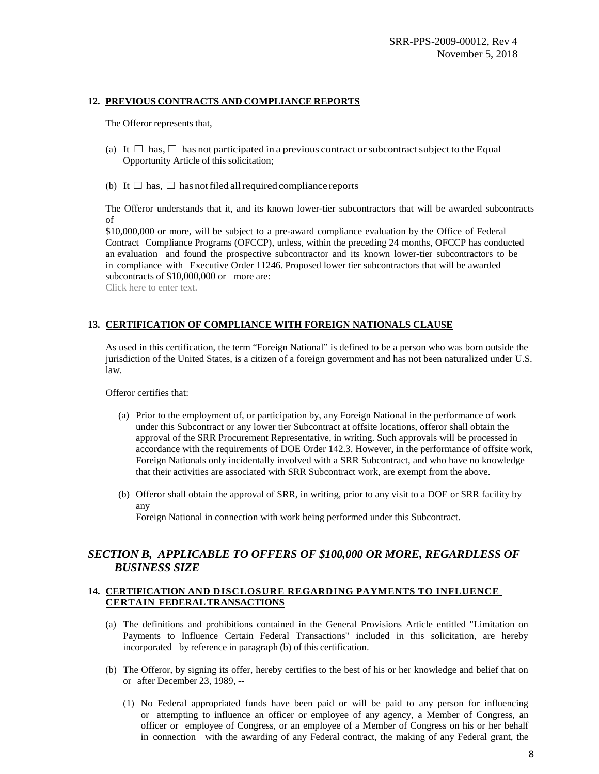## <span id="page-7-0"></span>**12. PREVIOUS CONTRACTS AND COMPLIANCE REPORTS**

The Offeror represents that,

- (a) It  $\Box$  has,  $\Box$  has not participated in a previous contract or subcontract subject to the Equal Opportunity Article of this solicitation;
- (b) It  $\Box$  has,  $\Box$  has not filed all required compliance reports

The Offeror understands that it, and its known lower-tier subcontractors that will be awarded subcontracts of

\$10,000,000 or more, will be subject to a pre-award compliance evaluation by the Office of Federal Contract Compliance Programs (OFCCP), unless, within the preceding 24 months, OFCCP has conducted an evaluation and found the prospective subcontractor and its known lower-tier subcontractors to be in compliance with Executive Order 11246. Proposed lower tier subcontractors that will be awarded subcontracts of \$10,000,000 or more are:

Click here to enter text.

## **13. CERTIFICATION OF COMPLIANCE WITH FOREIGN NATIONALS CLAUSE**

As used in this certification, the term "Foreign National" is defined to be a person who was born outside the jurisdiction of the United States, is a citizen of a foreign government and has not been naturalized under U.S. law.

Offeror certifies that:

- (a) Prior to the employment of, or participation by, any Foreign National in the performance of work under this Subcontract or any lower tier Subcontract at offsite locations, offeror shall obtain the approval of the SRR Procurement Representative, in writing. Such approvals will be processed in accordance with the requirements of DOE Order 142.3. However, in the performance of offsite work, Foreign Nationals only incidentally involved with a SRR Subcontract, and who have no knowledge that their activities are associated with SRR Subcontract work, are exempt from the above.
- (b) Offeror shall obtain the approval of SRR, in writing, prior to any visit to a DOE or SRR facility by any

Foreign National in connection with work being performed under this Subcontract.

## <span id="page-7-1"></span>*SECTION B, APPLICABLE TO OFFERS OF \$100,000 OR MORE, REGARDLESS OF BUSINESS SIZE*

## **14. CERTIFICATION AND DISCLOSURE REGARDING PAYMENTS TO INFLUENCE CERTAIN FEDERALTRANSACTIONS**

- (a) The definitions and prohibitions contained in the General Provisions Article entitled "Limitation on Payments to Influence Certain Federal Transactions" included in this solicitation, are hereby incorporated by reference in paragraph (b) of this certification.
- (b) The Offeror, by signing its offer, hereby certifies to the best of his or her knowledge and belief that on or after December 23, 1989, --
	- (1) No Federal appropriated funds have been paid or will be paid to any person for influencing or attempting to influence an officer or employee of any agency, a Member of Congress, an officer or employee of Congress, or an employee of a Member of Congress on his or her behalf in connection with the awarding of any Federal contract, the making of any Federal grant, the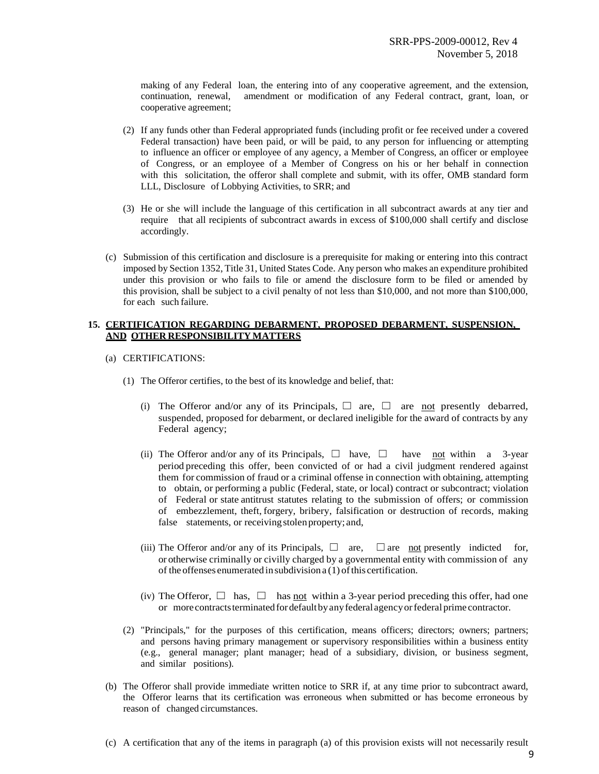making of any Federal loan, the entering into of any cooperative agreement, and the extension, continuation, renewal, amendment or modification of any Federal contract, grant, loan, or cooperative agreement;

- (2) If any funds other than Federal appropriated funds (including profit or fee received under a covered Federal transaction) have been paid, or will be paid, to any person for influencing or attempting to influence an officer or employee of any agency, a Member of Congress, an officer or employee of Congress, or an employee of a Member of Congress on his or her behalf in connection with this solicitation, the offeror shall complete and submit, with its offer, OMB standard form LLL, Disclosure of Lobbying Activities, to SRR; and
- (3) He or she will include the language of this certification in all subcontract awards at any tier and require that all recipients of subcontract awards in excess of \$100,000 shall certify and disclose accordingly.
- (c) Submission of this certification and disclosure is a prerequisite for making or entering into this contract imposed by Section 1352, Title 31, United States Code. Any person who makes an expenditure prohibited under this provision or who fails to file or amend the disclosure form to be filed or amended by this provision, shall be subject to a civil penalty of not less than \$10,000, and not more than \$100,000, for each such failure.

## <span id="page-8-0"></span>**15. CERTIFICATION REGARDING DEBARMENT, PROPOSED DEBARMENT, SUSPENSION, AND OTHER RESPONSIBILITY MATTERS**

- (a) CERTIFICATIONS:
	- (1) The Offeror certifies, to the best of its knowledge and belief, that:
		- (i) The Offeror and/or any of its Principals,  $\Box$  are,  $\Box$  are not presently debarred, suspended, proposed for debarment, or declared ineligible for the award of contracts by any Federal agency;
		- (ii) The Offeror and/or any of its Principals,  $\Box$  have,  $\Box$  have not within a 3-year period preceding this offer, been convicted of or had a civil judgment rendered against them for commission of fraud or a criminal offense in connection with obtaining, attempting to obtain, or performing a public (Federal, state, or local) contract or subcontract; violation of Federal or state antitrust statutes relating to the submission of offers; or commission of embezzlement, theft, forgery, bribery, falsification or destruction of records, making false statements, or receiving stolen property; and,
		- (iii) The Offeror and/or any of its Principals,  $\Box$  are,  $\Box$  are not presently indicted for, or otherwise criminally or civilly charged by a governmental entity with commission of any of the offenses enumerated in subdivision  $a(1)$  of this certification.
		- (iv) The Offeror,  $\Box$  has,  $\Box$  has <u>not</u> within a 3-year period preceding this offer, had one or more contracts terminated for default by any federal agency or federal prime contractor.
	- (2) "Principals," for the purposes of this certification, means officers; directors; owners; partners; and persons having primary management or supervisory responsibilities within a business entity (e.g., general manager; plant manager; head of a subsidiary, division, or business segment, and similar positions).
- (b) The Offeror shall provide immediate written notice to SRR if, at any time prior to subcontract award, the Offeror learns that its certification was erroneous when submitted or has become erroneous by reason of changed circumstances.
- (c) A certification that any of the items in paragraph (a) of this provision exists will not necessarily result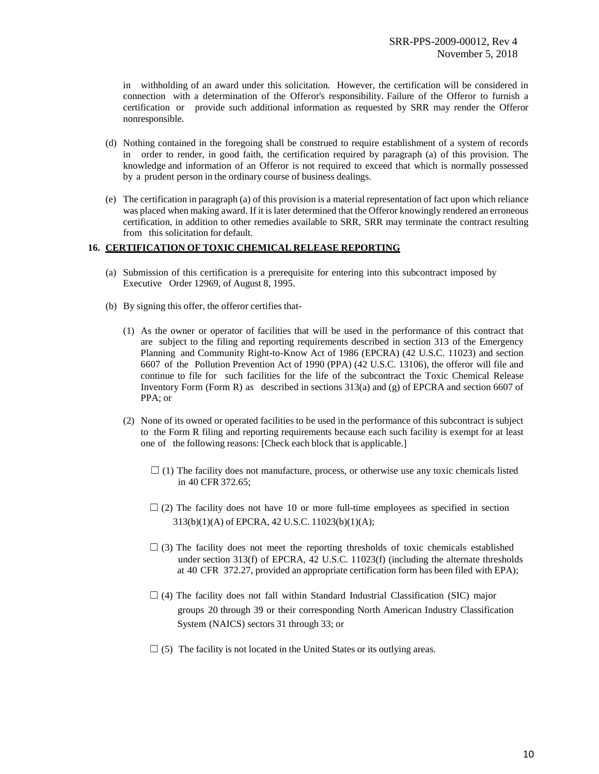in withholding of an award under this solicitation. However, the certification will be considered in connection with a determination of the Offeror's responsibility. Failure of the Offeror to furnish a certification or provide such additional information as requested by SRR may render the Offeror nonresponsible.

- (d) Nothing contained in the foregoing shall be construed to require establishment of a system of records in order to render, in good faith, the certification required by paragraph (a) of this provision. The knowledge and information of an Offeror is not required to exceed that which is normally possessed by a prudent person in the ordinary course of business dealings.
- (e) The certification in paragraph (a) of this provision is a material representation of fact upon which reliance was placed when making award. If it islater determined that the Offeror knowingly rendered an erroneous certification, in addition to other remedies available to SRR, SRR may terminate the contract resulting from this solicitation for default.

#### <span id="page-9-0"></span>**16. CERTIFICATION OF TOXIC CHEMICAL RELEASE REPORTING**

- (a) Submission of this certification is a prerequisite for entering into this subcontract imposed by Executive Order 12969, of August 8, 1995.
- (b) By signing this offer, the offeror certifies that-
	- (1) As the owner or operator of facilities that will be used in the performance of this contract that are subject to the filing and reporting requirements described in section 313 of the Emergency Planning and Community Right-to-Know Act of 1986 (EPCRA) (42 U.S.C. 11023) and section 6607 of the Pollution Prevention Act of 1990 (PPA) (42 U.S.C. 13106), the offeror will file and continue to file for such facilities for the life of the subcontract the Toxic Chemical Release Inventory Form (Form R) as described in sections  $313(a)$  and (g) of EPCRA and section 6607 of PPA; or
	- (2) None of its owned or operated facilities to be used in the performance of this subcontract is subject to the Form R filing and reporting requirements because each such facility is exempt for at least one of the following reasons: [Check each block that is applicable.]
		- $\Box$  (1) The facility does not manufacture, process, or otherwise use any toxic chemicals listed in 40 CFR 372.65;
		- $\Box$  (2) The facility does not have 10 or more full-time employees as specified in section  $\square$  (2) The facility does not have 10 or more full-time 313(b)(1)(A) of EPCRA, 42 U.S.C. 11023(b)(1)(A);
			- $\Box$  (3) The facility does not meet the reporting thresholds of toxic chemicals established under section 313(f) of EPCRA, 42 U.S.C. 11023(f) (including the alternate thresholds at 40 CFR 372.27, provided an appropriate certification form has been filed with EPA);
			- $\Box$  (4) The facility does not fall within Standard Industrial Classification (SIC) major groups <sup>20</sup> through <sup>39</sup> or their corresponding North American Industry Classification System (NAICS) sectors <sup>31</sup> through 33; or
			- $\Box$  (5) The facility is not located in the United States or its outlying areas.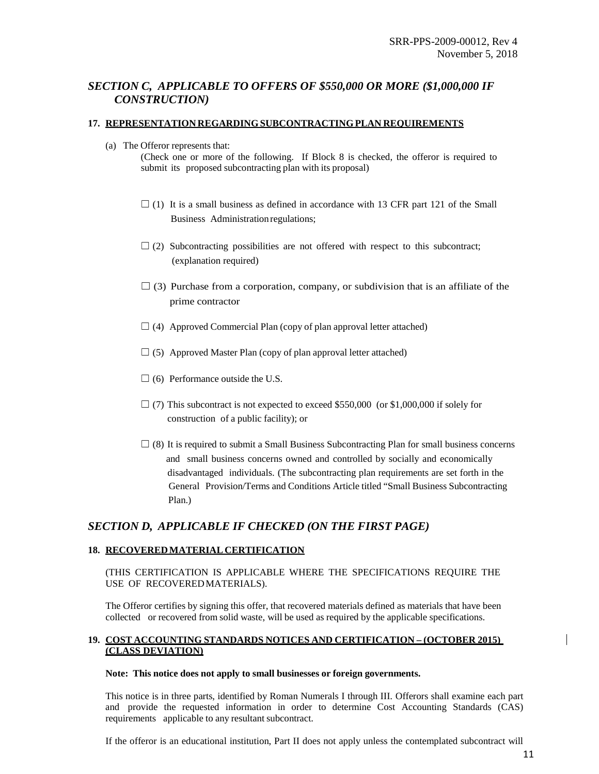## <span id="page-10-0"></span>*SECTION C, APPLICABLE TO OFFERS OF \$550,000 OR MORE (\$1,000,000 IF CONSTRUCTION)*

## <span id="page-10-1"></span>**17. REPRESENTATION REGARDINGSUBCONTRACTINGPLAN REQUIREMENTS**

- (a) The Offeror represents that:
	- (Check one or more of the following. If Block 8 is checked, the offeror is required to submit its proposed subcontracting plan with its proposal)
	- $\Box$  (1) It is a small business as defined in accordance with 13 CFR part 121 of the Small  $\Box$  (1) It is a small business as defined in a<br>Business Administration regulations;
- $\Box$  (2) Subcontracting possibilities are not offered with respect to this subcontract;  $\Box$  (2) Subcontracting possibi<br>(explanation required)
	- $\Box$  (3) Purchase from a corporation, company, or subdivision that is an affiliate of the prime contractor
	- $\Box$  (4) Approved Commercial Plan (copy of plan approval letter attached)
	- $\Box$  (5) Approved Master Plan (copy of plan approval letter attached)
	- $\Box$  (6) Performance outside the U.S.
- $\Box$  (7) This subcontract is not expected to exceed \$550,000 (or \$1,000,000 if solely for  $\Box$  (7) This subcontract is not expected to  $\alpha$  construction of a public facility); or
- $\Box$  (8) It is required to submit a Small Business Subcontracting Plan for small business concerns  $\Box$  (8) It is required to submit a Small Business Subcontracting Plan for small business concerns owned and controlled by socially and economically and small business concerns owned and controlled by socially and economically disadvantaged individuals. (The subcontracting plan requirements are set forth in the disadvantaged individuals. (The subcontracting plan requirements are set forth in the General Provision/Terms and Conditions Article titled "Small Business Subcontracting Gener<br>Plan.)

## *SECTION D, APPLICABLE IF CHECKED (ON THE FIRST PAGE)*

## <span id="page-10-2"></span>**18. RECOVEREDMATERIAL CERTIFICATION**

## (THIS CERTIFICATION IS APPLICABLE WHERE THE SPECIFICATIONS REQUIRE THE USE OF RECOVEREDMATERIALS).

The Offeror certifies by signing this offer, that recovered materials defined as materials that have been collected or recovered from solid waste, will be used as required by the applicable specifications.

## <span id="page-10-3"></span>**19. COST ACCOUNTING STANDARDS NOTICES AND CERTIFICATION – (OCTOBER 2015) (CLASS DEVIATION)**

#### **Note: This notice does not apply to small businesses or foreign governments.**

This notice is in three parts, identified by Roman Numerals I through III. Offerors shall examine each part and provide the requested information in order to determine Cost Accounting Standards (CAS) requirements applicable to any resultant subcontract.

If the offeror is an educational institution, Part II does not apply unless the contemplated subcontract will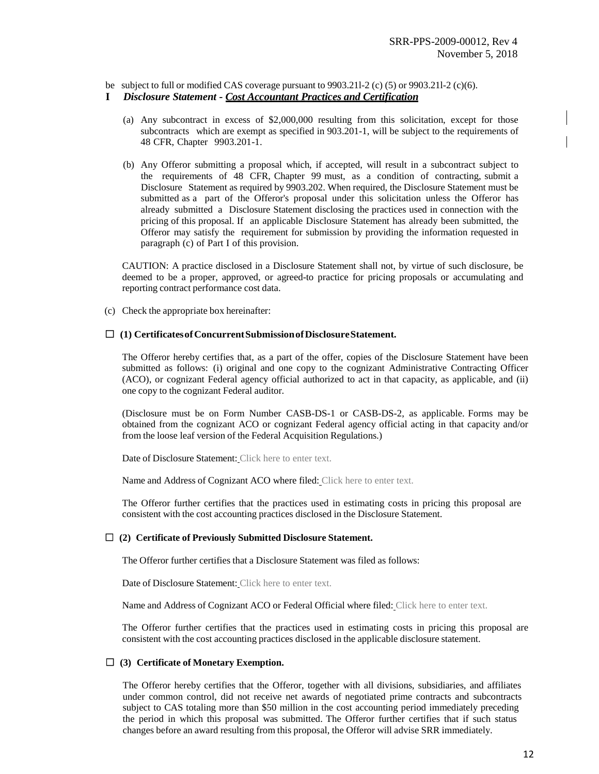be subject to full or modified CAS coverage pursuant to 9903.21l-2 (c) (5) or 9903.21l-2 (c)(6).

## **I** *Disclosure Statement - Cost Accountant Practices and Certification*

- (a) Any subcontract in excess of \$2,000,000 resulting from this solicitation, except for those subcontracts which are exempt as specified in 903.201-1, will be subject to the requirements of 48 CFR, Chapter 9903.201-1.
- (b) Any Offeror submitting a proposal which, if accepted, will result in a subcontract subject to the requirements of 48 CFR, Chapter 99 must, as a condition of contracting, submit a Disclosure Statement as required by 9903.202. When required, the Disclosure Statement must be submitted as a part of the Offeror's proposal under this solicitation unless the Offeror has already submitted a Disclosure Statement disclosing the practices used in connection with the pricing of this proposal. If an applicable Disclosure Statement has already been submitted, the Offeror may satisfy the requirement for submission by providing the information requested in paragraph (c) of Part I of this provision.

CAUTION: A practice disclosed in a Disclosure Statement shall not, by virtue of such disclosure, be deemed to be a proper, approved, or agreed-to practice for pricing proposals or accumulating and reporting contract performance cost data.

(c) Check the appropriate box hereinafter:

#### ☐ **(1) CertificatesofConcurrentSubmissionofDisclosureStatement.**

The Offeror hereby certifies that, as a part of the offer, copies of the Disclosure Statement have been submitted as follows: (i) original and one copy to the cognizant Administrative Contracting Officer (ACO), or cognizant Federal agency official authorized to act in that capacity, as applicable, and (ii) one copy to the cognizant Federal auditor.

(Disclosure must be on Form Number CASB-DS-1 or CASB-DS-2, as applicable. Forms may be obtained from the cognizant ACO or cognizant Federal agency official acting in that capacity and/or from the loose leaf version of the Federal Acquisition Regulations.)

Date of Disclosure Statement: Click here to enter text.

Name and Address of Cognizant ACO where filed: Click here to enter text.

The Offeror further certifies that the practices used in estimating costs in pricing this proposal are consistent with the cost accounting practices disclosed in the Disclosure Statement.

#### ☐ **(2) Certificate of Previously Submitted Disclosure Statement.**

The Offeror further certifies that a Disclosure Statement was filed as follows:

Date of Disclosure Statement: Click here to enter text.

Name and Address of Cognizant ACO or Federal Official where filed: Click here to enter text.

The Offeror further certifies that the practices used in estimating costs in pricing this proposal are consistent with the cost accounting practices disclosed in the applicable disclosure statement.

#### ☐ **(3) Certificate of Monetary Exemption.**

The Offeror hereby certifies that the Offeror, together with all divisions, subsidiaries, and affiliates under common control, did not receive net awards of negotiated prime contracts and subcontracts subject to CAS totaling more than \$50 million in the cost accounting period immediately preceding the period in which this proposal was submitted. The Offeror further certifies that if such status changes before an award resulting from this proposal, the Offeror will advise SRR immediately.